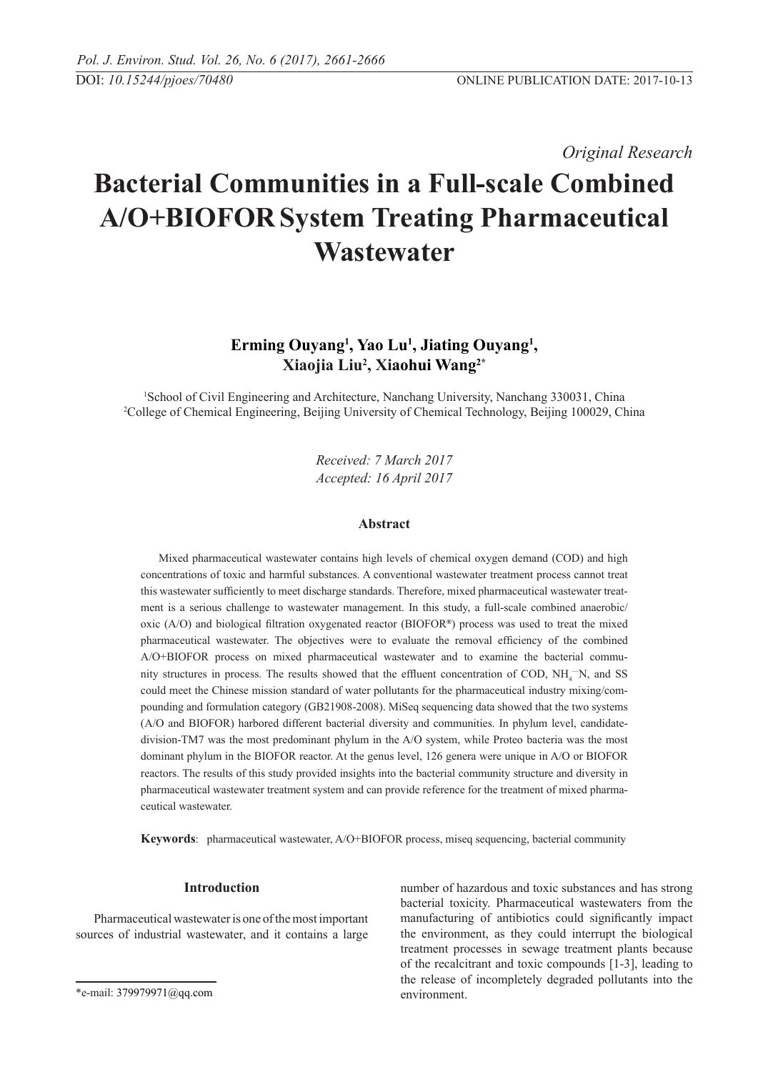*Original Research* 

# **Bacterial Communities in a Full-scale Combined A/O+BIOFOR System Treating Pharmaceutical Wastewater**

# Erming Ouyang<sup>1</sup>, Yao Lu<sup>1</sup>, Jiating Ouyang<sup>1</sup>, **Xiaojia Liu2 , Xiaohui Wang2\***

1 School of Civil Engineering and Architecture, Nanchang University, Nanchang 330031, China 2 College of Chemical Engineering, Beijing University of Chemical Technology, Beijing 100029, China

> *Received: 7 March 2017 Accepted: 16 April 2017*

## **Abstract**

Mixed pharmaceutical wastewater contains high levels of chemical oxygen demand (COD) and high concentrations of toxic and harmful substances. A conventional wastewater treatment process cannot treat this wastewater sufficiently to meet discharge standards. Therefore, mixed pharmaceutical wastewater treatment is a serious challenge to wastewater management. In this study, a full-scale combined anaerobic/ oxic (A/O) and biological filtration oxygenated reactor (BIOFOR**®**) process was used to treat the mixed pharmaceutical wastewater. The objectives were to evaluate the removal efficiency of the combined A/O+BIOFOR process on mixed pharmaceutical wastewater and to examine the bacterial community structures in process. The results showed that the effluent concentration of COD,  $NH_4$ <sup>-</sup>N, and SS could meet the Chinese mission standard of water pollutants for the pharmaceutical industry mixing/compounding and formulation category (GB21908-2008). MiSeq sequencing data showed that the two systems (A/O and BIOFOR) harbored different bacterial diversity and communities. In phylum level, candidatedivision-TM7 was the most predominant phylum in the A/O system, while Proteo bacteria was the most dominant phylum in the BIOFOR reactor. At the genus level, 126 genera were unique in A/O or BIOFOR reactors. The results of this study provided insights into the bacterial community structure and diversity in pharmaceutical wastewater treatment system and can provide reference for the treatment of mixed pharmaceutical wastewater.

**Keywords**: pharmaceutical wastewater, A/O+BIOFOR process, miseq sequencing, bacterial community

# **Introduction**

Pharmaceutical wastewater is one of the most important sources of industrial wastewater, and it contains a large number of hazardous and toxic substances and has strong bacterial toxicity. Pharmaceutical wastewaters from the manufacturing of antibiotics could significantly impact the environment, as they could interrupt the biological treatment processes in sewage treatment plants because of the recalcitrant and toxic compounds [1-3], leading to the release of incompletely degraded pollutants into the environment.

<sup>\*</sup>e-mail: 379979971@qq.com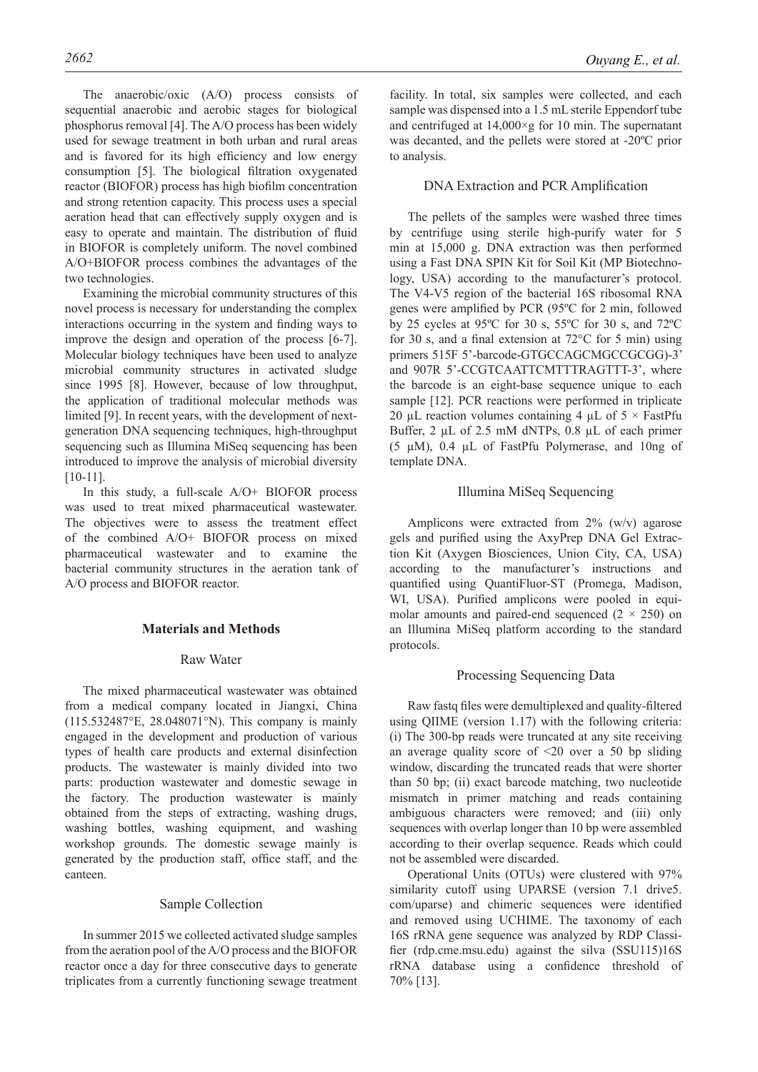The anaerobic/oxic (A/O) process consists of sequential anaerobic and aerobic stages for biological phosphorus removal [4]. The A/O process has been widely used for sewage treatment in both urban and rural areas and is favored for its high efficiency and low energy consumption [5]. The biological filtration oxygenated reactor (BIOFOR) process has high biofilm concentration and strong retention capacity. This process uses a special aeration head that can effectively supply oxygen and is easy to operate and maintain. The distribution of fluid in BIOFOR is completely uniform. The novel combined A/O+BIOFOR process combines the advantages of the two technologies.

Examining the microbial community structures of this novel process is necessary for understanding the complex interactions occurring in the system and finding ways to improve the design and operation of the process [6-7]. Molecular biology techniques have been used to analyze microbial community structures in activated sludge since 1995 [8]. However, because of low throughput, the application of traditional molecular methods was limited [9]. In recent years, with the development of nextgeneration DNA sequencing techniques, high-throughput sequencing such as Illumina MiSeq sequencing has been introduced to improve the analysis of microbial diversity [10-11].

In this study, a full-scale A/O+ BIOFOR process was used to treat mixed pharmaceutical wastewater. The objectives were to assess the treatment effect of the combined A/O+ BIOFOR process on mixed pharmaceutical wastewater and to examine the bacterial community structures in the aeration tank of A/O process and BIOFOR reactor.

## **Materials and Methods**

#### Raw Water

The mixed pharmaceutical wastewater was obtained from a medical company located in Jiangxi, China (115.532487°E, 28.048071°N). This company is mainly engaged in the development and production of various types of health care products and external disinfection products. The wastewater is mainly divided into two parts: production wastewater and domestic sewage in the factory. The production wastewater is mainly obtained from the steps of extracting, washing drugs, washing bottles, washing equipment, and washing workshop grounds. The domestic sewage mainly is generated by the production staff, office staff, and the canteen.

#### Sample Collection

In summer 2015 we collected activated sludge samples from the aeration pool of the A/O process and the BIOFOR reactor once a day for three consecutive days to generate triplicates from a currently functioning sewage treatment

facility. In total, six samples were collected, and each sample was dispensed into a 1.5 mL sterile Eppendorf tube and centrifuged at  $14,000 \times g$  for 10 min. The supernatant was decanted, and the pellets were stored at -20ºC prior to analysis.

# DNA Extraction and PCR Amplification

The pellets of the samples were washed three times by centrifuge using sterile high-purify water for 5 min at 15,000 g. DNA extraction was then performed using a Fast DNA SPIN Kit for Soil Kit (MP Biotechnology, USA) according to the manufacturer's protocol. The V4-V5 region of the bacterial 16S ribosomal RNA genes were amplified by PCR (95ºC for 2 min, followed by 25 cycles at 95ºC for 30 s, 55ºC for 30 s, and 72ºC for 30 s, and a final extension at  $72^{\circ}$ C for 5 min) using primers 515F 5'-barcode-GTGCCAGCMGCCGCGG)-3' and 907R 5'-CCGTCAATTCMTTTRAGTTT-3', where the barcode is an eight-base sequence unique to each sample [12]. PCR reactions were performed in triplicate 20 µL reaction volumes containing 4 µL of  $5 \times$  FastPfu Buffer, 2 µL of 2.5 mM dNTPs, 0.8 µL of each primer (5 µM), 0.4 µL of FastPfu Polymerase, and 10ng of template DNA.

#### Illumina MiSeq Sequencing

Amplicons were extracted from 2% (w/v) agarose gels and purified using the AxyPrep DNA Gel Extraction Kit (Axygen Biosciences, Union City, CA, USA) according to the manufacturer's instructions and quantified using QuantiFluor-ST (Promega, Madison, WI, USA). Purified amplicons were pooled in equimolar amounts and paired-end sequenced  $(2 \times 250)$  on an Illumina MiSeq platform according to the standard protocols.

# Processing Sequencing Data

Raw fastq files were demultiplexed and quality-filtered using QIIME (version 1.17) with the following criteria: (i) The 300-bp reads were truncated at any site receiving an average quality score of <20 over a 50 bp sliding window, discarding the truncated reads that were shorter than 50 bp; (ii) exact barcode matching, two nucleotide mismatch in primer matching and reads containing ambiguous characters were removed; and (iii) only sequences with overlap longer than 10 bp were assembled according to their overlap sequence. Reads which could not be assembled were discarded.

Operational Units (OTUs) were clustered with 97% similarity cutoff using UPARSE (version 7.1 drive5. com/uparse) and chimeric sequences were identified and removed using UCHIME. The taxonomy of each 16S rRNA gene sequence was analyzed by RDP Classifier (rdp.cme.msu.edu) against the silva (SSU115)16S rRNA database using a confidence threshold of 70% [13].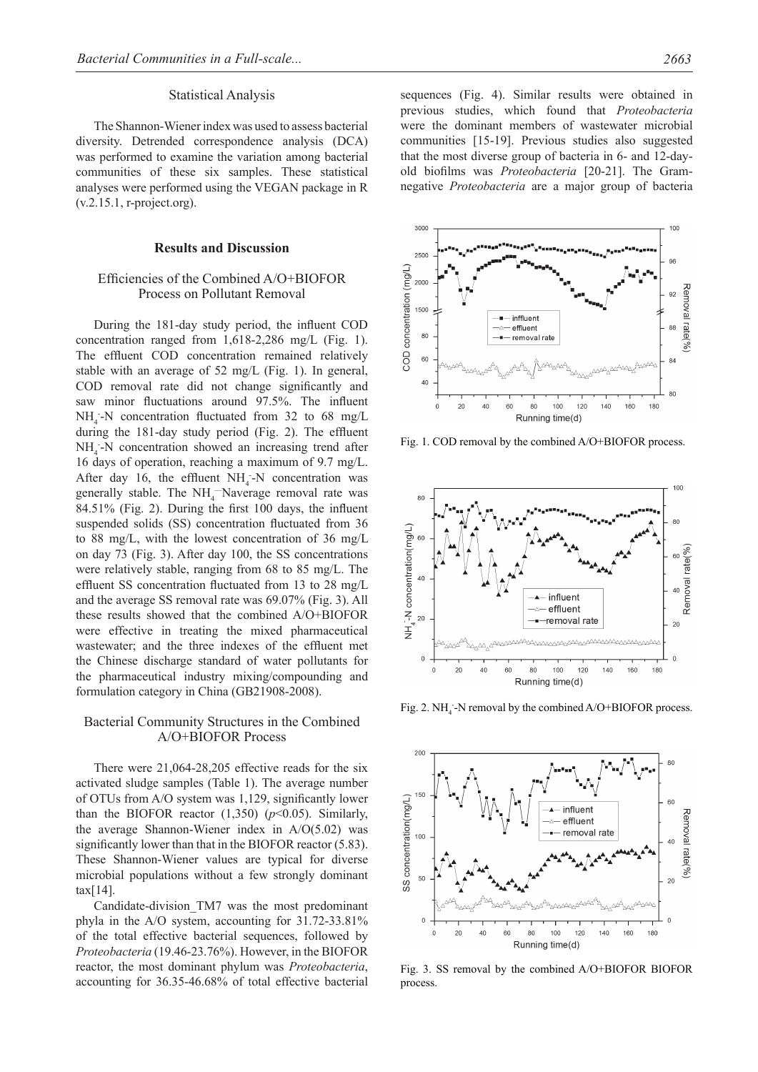#### Statistical Analysis

The Shannon-Wiener index was used to assess bacterial diversity. Detrended correspondence analysis (DCA) was performed to examine the variation among bacterial communities of these six samples. These statistical analyses were performed using the VEGAN package in R (v.2.15.1, r-project.org).

#### **Results and Discussion**

# Efficiencies of the Combined A/O+BIOFOR Process on Pollutant Removal

During the 181-day study period, the influent COD concentration ranged from 1,618-2,286 mg/L (Fig. 1). The effluent COD concentration remained relatively stable with an average of 52 mg/L (Fig. 1). In general, COD removal rate did not change significantly and saw minor fluctuations around 97.5%. The influent  $NH_4$ -N concentration fluctuated from 32 to 68 mg/L during the 181-day study period (Fig. 2). The effluent  $NH<sub>4</sub>$ -N concentration showed an increasing trend after 16 days of operation, reaching a maximum of 9.7 mg/L. After day 16, the effluent  $NH_4$ -N concentration was generally stable. The  $NH<sub>4</sub>$ -Naverage removal rate was 84.51% (Fig. 2). During the first 100 days, the influent suspended solids (SS) concentration fluctuated from 36 to 88 mg/L, with the lowest concentration of 36 mg/L on day 73 (Fig. 3). After day 100, the SS concentrations were relatively stable, ranging from 68 to 85 mg/L. The effluent SS concentration fluctuated from 13 to 28 mg/L and the average SS removal rate was 69.07% (Fig. 3). All these results showed that the combined A/O+BIOFOR were effective in treating the mixed pharmaceutical wastewater; and the three indexes of the effluent met the Chinese discharge standard of water pollutants for the pharmaceutical industry mixing/compounding and formulation category in China (GB21908-2008).

# Bacterial Community Structures in the Combined A/O+BIOFOR Process

There were 21,064-28,205 effective reads for the six activated sludge samples (Table 1). The average number of OTUs from A/O system was 1,129, significantly lower than the BIOFOR reactor  $(1,350)$   $(p<0.05)$ . Similarly, the average Shannon-Wiener index in A/O(5.02) was significantly lower than that in the BIOFOR reactor (5.83). These Shannon-Wiener values are typical for diverse microbial populations without a few strongly dominant tax[14].

Candidate-division\_TM7 was the most predominant phyla in the A/O system, accounting for 31.72-33.81% of the total effective bacterial sequences, followed by *Proteobacteria* (19.46-23.76%). However, in the BIOFOR reactor, the most dominant phylum was *Proteobacteria*, accounting for 36.35-46.68% of total effective bacterial sequences (Fig. 4). Similar results were obtained in previous studies, which found that *Proteobacteria* were the dominant members of wastewater microbial communities [15-19]. Previous studies also suggested that the most diverse group of bacteria in 6- and 12-dayold biofilms was *Proteobacteria* [20-21]. The Gramnegative *Proteobacteria* are a major group of bacteria



Fig. 1. COD removal by the combined A/O+BIOFOR process.



Fig. 2.  $NH_4$ -N removal by the combined A/O+BIOFOR process.



Fig. 3. SS removal by the combined A/O+BIOFOR BIOFOR process.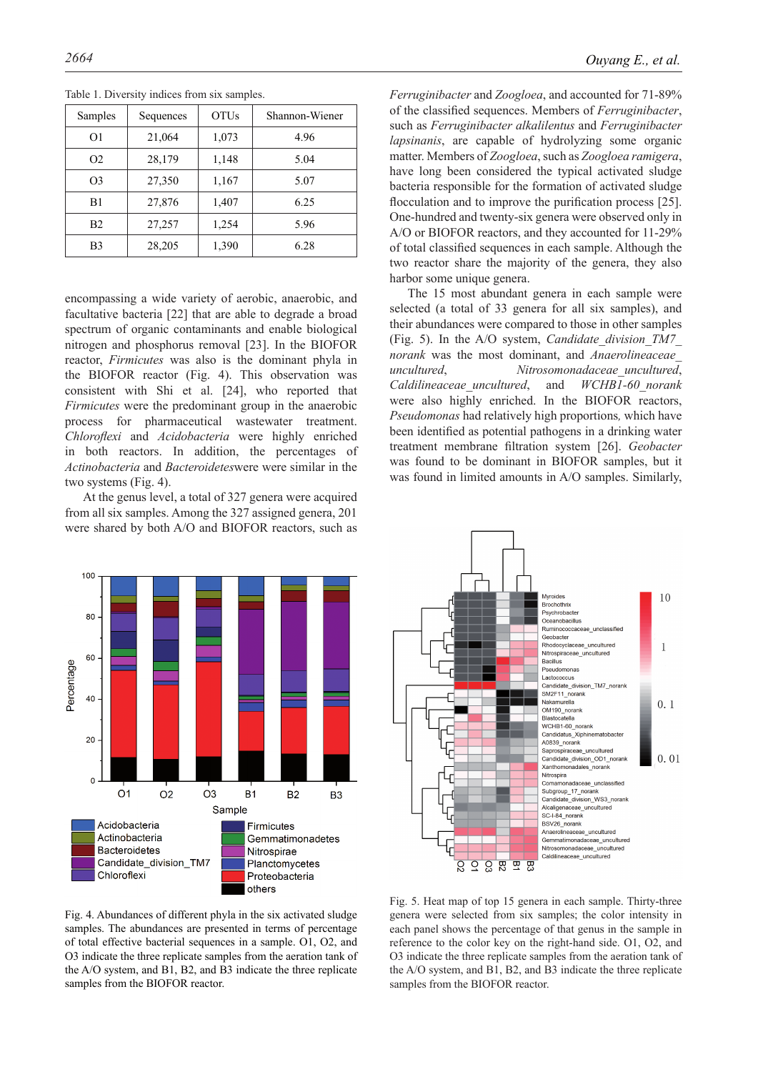| Samples        | Sequences | <b>OTUs</b> | Shannon-Wiener |
|----------------|-----------|-------------|----------------|
| O <sub>1</sub> | 21,064    | 1,073       | 4.96           |
| O <sub>2</sub> | 28,179    | 1,148       | 5.04           |
| O <sub>3</sub> | 27,350    | 1,167       | 5.07           |
| B1             | 27,876    | 1,407       | 6.25           |
| B <sub>2</sub> | 27,257    | 1,254       | 5.96           |
| B <sub>3</sub> | 28,205    | 1,390       | 6.28           |

Table 1. Diversity indices from six samples.

encompassing a wide variety of aerobic, anaerobic, and facultative bacteria [22] that are able to degrade a broad spectrum of organic contaminants and enable biological nitrogen and phosphorus removal [23]. In the BIOFOR reactor, *Firmicutes* was also is the dominant phyla in the BIOFOR reactor (Fig. 4). This observation was consistent with Shi et al. [24], who reported that *Firmicutes* were the predominant group in the anaerobic process for pharmaceutical wastewater treatment. *Chloroflexi* and *Acidobacteria* were highly enriched in both reactors. In addition, the percentages of *Actinobacteria* and *Bacteroidetes*were were similar in the two systems (Fig. 4).

At the genus level, a total of 327 genera were acquired from all six samples. Among the 327 assigned genera, 201 were shared by both A/O and BIOFOR reactors, such as



*Ferruginibacter* and *Zoogloea*, and accounted for 71-89% of the classified sequences. Members of *Ferruginibacter*, such as *Ferruginibacter alkalilentus* and *Ferruginibacter lapsinanis*, are capable of hydrolyzing some organic matter. Members of *Zoogloea*, such as *Zoogloea ramigera*, have long been considered the typical activated sludge bacteria responsible for the formation of activated sludge flocculation and to improve the purification process [25]. One-hundred and twenty-six genera were observed only in A/O or BIOFOR reactors, and they accounted for 11-29% of total classified sequences in each sample. Although the two reactor share the majority of the genera, they also harbor some unique genera.

The 15 most abundant genera in each sample were selected (a total of 33 genera for all six samples), and their abundances were compared to those in other samples (Fig. 5). In the A/O system, *Candidate\_division\_TM7\_ norank* was the most dominant, and *Anaerolineaceae\_ uncultured*, *Nitrosomonadaceae\_uncultured*, *Caldilineaceae\_uncultured*, and *WCHB1-60\_norank* were also highly enriched. In the BIOFOR reactors, *Pseudomonas* had relatively high proportions*,* which have been identified as potential pathogens in a drinking water treatment membrane filtration system [26]. *Geobacter* was found to be dominant in BIOFOR samples, but it was found in limited amounts in A/O samples. Similarly,



Fig. 4. Abundances of different phyla in the six activated sludge samples. The abundances are presented in terms of percentage of total effective bacterial sequences in a sample. O1, O2, and O3 indicate the three replicate samples from the aeration tank of the A/O system, and B1, B2, and B3 indicate the three replicate samples from the BIOFOR reactor.

Fig. 5. Heat map of top 15 genera in each sample. Thirty-three genera were selected from six samples; the color intensity in each panel shows the percentage of that genus in the sample in reference to the color key on the right-hand side. O1, O2, and O3 indicate the three replicate samples from the aeration tank of the A/O system, and B1, B2, and B3 indicate the three replicate samples from the BIOFOR reactor.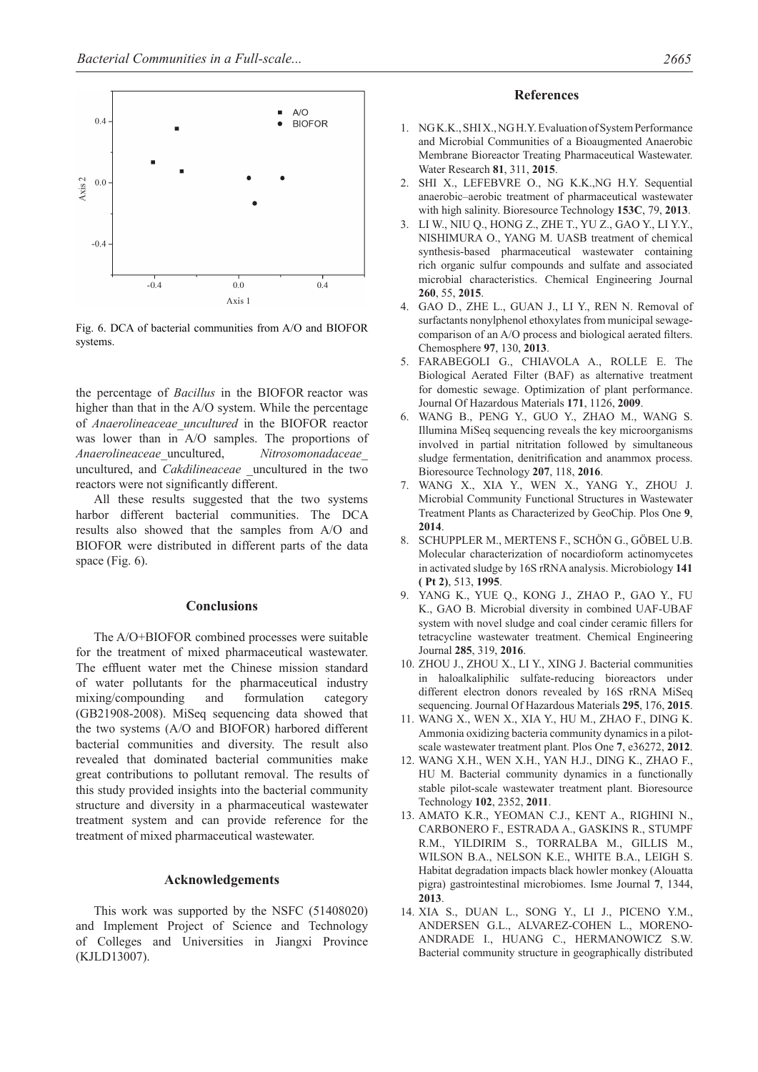

Fig. 6. DCA of bacterial communities from A/O and BIOFOR systems.

the percentage of *Bacillus* in the BIOFOR reactor was higher than that in the A/O system. While the percentage of *Anaerolineaceae\_uncultured* in the BIOFOR reactor was lower than in A/O samples. The proportions of *Anaerolineaceae*\_uncultured, *Nitrosomonadaceae*\_ uncultured, and *Cakdilineaceae* \_uncultured in the two reactors were not significantly different.

All these results suggested that the two systems harbor different bacterial communities. The DCA results also showed that the samples from A/O and BIOFOR were distributed in different parts of the data space (Fig. 6).

#### **Conclusions**

The A/O+BIOFOR combined processes were suitable for the treatment of mixed pharmaceutical wastewater. The effluent water met the Chinese mission standard of water pollutants for the pharmaceutical industry mixing/compounding and formulation category (GB21908-2008). MiSeq sequencing data showed that the two systems (A/O and BIOFOR) harbored different bacterial communities and diversity. The result also revealed that dominated bacterial communities make great contributions to pollutant removal. The results of this study provided insights into the bacterial community structure and diversity in a pharmaceutical wastewater treatment system and can provide reference for the treatment of mixed pharmaceutical wastewater.

#### **Acknowledgements**

This work was supported by the NSFC (51408020) and Implement Project of Science and Technology of Colleges and Universities in Jiangxi Province (KJLD13007).

#### **References**

- 1. Ng K.K., Shi X., Ng H.Y. Evaluation of System Performance and Microbial Communities of a Bioaugmented Anaerobic Membrane Bioreactor Treating Pharmaceutical Wastewater. Water Research **81**, 311, **2015**.
- 2. Shi X., Lefebvre O., Ng K.K.,Ng H.Y. Sequential anaerobic–aerobic treatment of pharmaceutical wastewater with high salinity. Bioresource Technology **153C**, 79, **2013**.
- 3. Li W., Niu Q., Hong Z., Zhe T., Yu Z., Gao Y., Li Y.Y., Nishimura O., Yang M. UASB treatment of chemical synthesis-based pharmaceutical wastewater containing rich organic sulfur compounds and sulfate and associated microbial characteristics. Chemical Engineering Journal **260**, 55, **2015**.
- 4. GAO D., ZHE L., GUAN J., LI Y., REN N. Removal of surfactants nonylphenol ethoxylates from municipal sewagecomparison of an A/O process and biological aerated filters. Chemosphere **97**, 130, **2013**.
- 5. Farabegoli G., Chiavola A., Rolle E. The Biological Aerated Filter (BAF) as alternative treatment for domestic sewage. Optimization of plant performance. Journal Of Hazardous Materials **171**, 1126, **2009**.
- 6. Wang B., Peng Y., Guo Y., Zhao M., Wang S. Illumina MiSeq sequencing reveals the key microorganisms involved in partial nitritation followed by simultaneous sludge fermentation, denitrification and anammox process. Bioresource Technology **207**, 118, **2016**.
- 7. Wang X., Xia Y., Wen X., Yang Y., Zhou J. Microbial Community Functional Structures in Wastewater Treatment Plants as Characterized by GeoChip. Plos One **9**, **2014**.
- 8. Schuppler M., Mertens F., Schön G., Göbel U.B. Molecular characterization of nocardioform actinomycetes in activated sludge by 16S rRNA analysis. Microbiology **141 ( Pt 2)**, 513, **1995**.
- 9. Yang K., Yue Q., Kong J., Zhao P., Gao Y., Fu K., Gao B. Microbial diversity in combined UAF-UBAF system with novel sludge and coal cinder ceramic fillers for tetracycline wastewater treatment. Chemical Engineering Journal **285**, 319, **2016**.
- 10. Zhou J., Zhou X., Li Y., Xing J. Bacterial communities in haloalkaliphilic sulfate-reducing bioreactors under different electron donors revealed by 16S rRNA MiSeq sequencing. Journal Of Hazardous Materials **295**, 176, **2015**.
- 11. Wang X., Wen X., Xia Y., Hu M., Zhao F., Ding K. Ammonia oxidizing bacteria community dynamics in a pilotscale wastewater treatment plant. Plos One **7**, e36272, **2012**.
- 12. Wang X.H., Wen X.H., Yan H.J., Ding K., Zhao F., Hu M. Bacterial community dynamics in a functionally stable pilot-scale wastewater treatment plant. Bioresource Technology **102**, 2352, **2011**.
- 13. Amato K.R., Yeoman C.J., Kent A., Righini N., Carbonero F., Estrada A., Gaskins R., Stumpf R.M., Yildirim S., Torralba M., Gillis M., Wilson B.A., Nelson K.E., White B.A., Leigh S. Habitat degradation impacts black howler monkey (Alouatta pigra) gastrointestinal microbiomes. Isme Journal **7**, 1344, **2013**.
- 14. Xia S., Duan L., Song Y., Li J., Piceno Y.M., Andersen G.L., Alvarez-Cohen L., Moreno-Andrade I., Huang C., Hermanowicz S.W. Bacterial community structure in geographically distributed